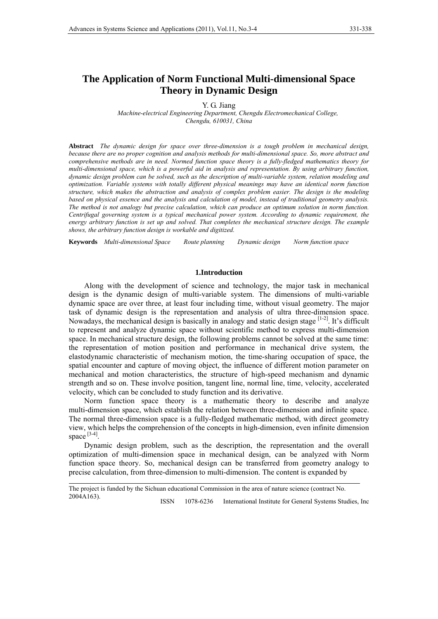# **The Application of Norm Functional Multi-dimensional Space Theory in Dynamic Design**

Y. G. Jiang

 *Machine-electrical Engineering Department, Chengdu Electromechanical College, Chengdu, 610031, China* 

**Abstract** *The dynamic design for space over three-dimension is a tough problem in mechanical design, because there are no proper cognition and analysis methods for multi-dimensional space. So, more abstract and comprehensive methods are in need. Normed function space theory is a fully-fledged mathematics theory for multi-dimensional space, which is a powerful aid in analysis and representation. By using arbitrary function, dynamic design problem can be solved, such as the description of multi-variable system, relation modeling and optimization. Variable systems with totally different physical meanings may have an identical norm function structure, which makes the abstraction and analysis of complex problem easier. The design is the modeling based on physical essence and the analysis and calculation of model, instead of traditional geometry analysis. The method is not analogy but precise calculation, which can produce an optimum solution in norm function. Centrifugal governing system is a typical mechanical power system. According to dynamic requirement, the energy arbitrary function is set up and solved. That completes the mechanical structure design. The example shows, the arbitrary function design is workable and digitized.*

**Keywords** *Multi-dimensional Space Route planning Dynamic design Norm function space*

## **1.Introduction**

Along with the development of science and technology, the major task in mechanical design is the dynamic design of multi-variable system. The dimensions of multi-variable dynamic space are over three, at least four including time, without visual geometry. The major task of dynamic design is the representation and analysis of ultra three-dimension space. Nowadays, the mechanical design is basically in analogy and static design stage [1-2]. It's difficult to represent and analyze dynamic space without scientific method to express multi-dimension space. In mechanical structure design, the following problems cannot be solved at the same time: the representation of motion position and performance in mechanical drive system, the elastodynamic characteristic of mechanism motion, the time-sharing occupation of space, the spatial encounter and capture of moving object, the influence of different motion parameter on mechanical and motion characteristics, the structure of high-speed mechanism and dynamic strength and so on. These involve position, tangent line, normal line, time, velocity, accelerated velocity, which can be concluded to study function and its derivative.

Norm function space theory is a mathematic theory to describe and analyze multi-dimension space, which establish the relation between three-dimension and infinite space. The normal three-dimension space is a fully-fledged mathematic method, with direct geometry view, which helps the comprehension of the concepts in high-dimension, even infinite dimension space [3-4].

Dynamic design problem, such as the description, the representation and the overall optimization of multi-dimension space in mechanical design, can be analyzed with Norm function space theory. So, mechanical design can be transferred from geometry analogy to precise calculation, from three-dimension to multi-dimension. The content is expanded by

ISSN 1078-6236 International Institute for General Systems Studies, Inc

The project is funded by the Sichuan educational Commission in the area of nature science (contract No. 2004A163).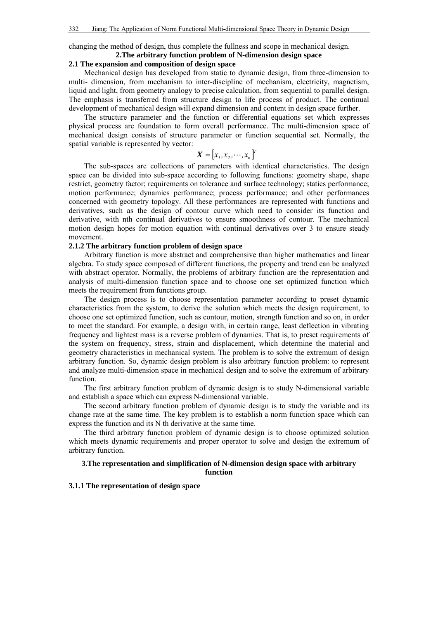changing the method of design, thus complete the fullness and scope in mechanical design.

# **2.The arbitrary function problem of N-dimension design space**

# **2.1 The expansion and composition of design space**

Mechanical design has developed from static to dynamic design, from three-dimension to multi- dimension, from mechanism to inter-discipline of mechanism, electricity, magnetism, liquid and light, from geometry analogy to precise calculation, from sequential to parallel design. The emphasis is transferred from structure design to life process of product. The continual development of mechanical design will expand dimension and content in design space further.

The structure parameter and the function or differential equations set which expresses physical process are foundation to form overall performance. The multi-dimension space of mechanical design consists of structure parameter or function sequential set. Normally, the spatial variable is represented by vector:

# $\boldsymbol{X} = [x_1, x_2, \cdots, x_n]^T$

The sub-spaces are collections of parameters with identical characteristics. The design space can be divided into sub-space according to following functions: geometry shape, shape restrict, geometry factor; requirements on tolerance and surface technology; statics performance; motion performance; dynamics performance; process performance; and other performances concerned with geometry topology. All these performances are represented with functions and derivatives, such as the design of contour curve which need to consider its function and derivative, with nth continual derivatives to ensure smoothness of contour. The mechanical motion design hopes for motion equation with continual derivatives over 3 to ensure steady movement.

# **2.1.2 The arbitrary function problem of design space**

Arbitrary function is more abstract and comprehensive than higher mathematics and linear algebra. To study space composed of different functions, the property and trend can be analyzed with abstract operator. Normally, the problems of arbitrary function are the representation and analysis of multi-dimension function space and to choose one set optimized function which meets the requirement from functions group.

The design process is to choose representation parameter according to preset dynamic characteristics from the system, to derive the solution which meets the design requirement, to choose one set optimized function, such as contour, motion, strength function and so on, in order to meet the standard. For example, a design with, in certain range, least deflection in vibrating frequency and lightest mass is a reverse problem of dynamics. That is, to preset requirements of the system on frequency, stress, strain and displacement, which determine the material and geometry characteristics in mechanical system. The problem is to solve the extremum of design arbitrary function. So, dynamic design problem is also arbitrary function problem: to represent and analyze multi-dimension space in mechanical design and to solve the extremum of arbitrary function.

The first arbitrary function problem of dynamic design is to study N-dimensional variable and establish a space which can express N-dimensional variable.

The second arbitrary function problem of dynamic design is to study the variable and its change rate at the same time. The key problem is to establish a norm function space which can express the function and its N th derivative at the same time.

The third arbitrary function problem of dynamic design is to choose optimized solution which meets dynamic requirements and proper operator to solve and design the extremum of arbitrary function.

#### **3.The representation and simplification of N-dimension design space with arbitrary function**

#### **3.1.1 The representation of design space**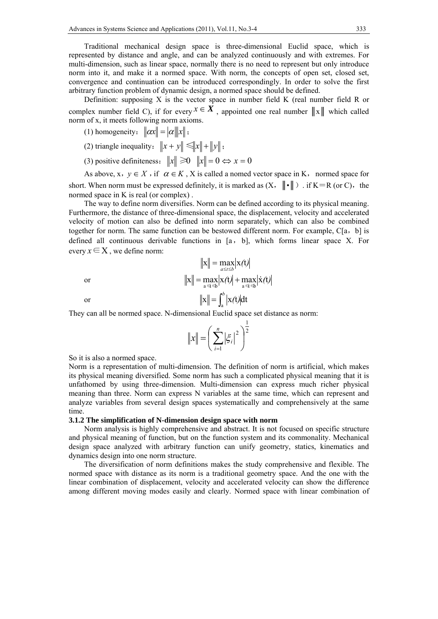Traditional mechanical design space is three-dimensional Euclid space, which is represented by distance and angle, and can be analyzed continuously and with extremes. For multi-dimension, such as linear space, normally there is no need to represent but only introduce norm into it, and make it a normed space. With norm, the concepts of open set, closed set, convergence and continuation can be introduced correspondingly. In order to solve the first arbitrary function problem of dynamic design, a normed space should be defined.

Definition: supposing X is the vector space in number field K (real number field R or complex number field C), if for every  $x \in X$ , appointed one real number  $||x||$  which called norm of x, it meets following norm axioms.

- (1) homogeneity:  $\|\alpha x\| = |\alpha| \|x\|$ ;
- (2) triangle inequality:  $\|x + y\| \le \|x\| + \|y\|$ ;
- (3) positive definiteness:  $||x|| \ge 0$   $||x|| = 0 \Leftrightarrow x = 0$

As above, x,  $y \in X$ , if  $\alpha \in K$ , X is called a nomed vector space in K, normed space for short. When norm must be expressed definitely, it is marked as  $(X, \|\cdot\|)$ . if  $K=R$  (or C), the normed space in K is real (or complex) .

The way to define norm diversifies. Norm can be defined according to its physical meaning. Furthermore, the distance of three-dimensional space, the displacement, velocity and accelerated velocity of motion can also be defined into norm separately, which can also be combined together for norm. The same function can be bestowed different norm. For example, C[a,b] is defined all continuous derivable functions in [a,b], which forms linear space X. For every  $x \in X$ , we define norm:

$$
\|x\| = \max_{a \le t \le b} |x(t)|
$$
  
or  

$$
\|x\| = \max_{a \le t \le b} |x(t)| + \max_{a \le t \le b} |\dot{x}(t)|
$$
  
or  

$$
\|x\| = \int_a^b |x(t)| dt
$$

They can all be normed space. N-dimensional Euclid space set distance as norm:

$$
||x|| = \left(\sum_{i=1}^{n} |\xi_i|^2\right)^{\frac{1}{2}}
$$

So it is also a normed space.

Norm is a representation of multi-dimension. The definition of norm is artificial, which makes its physical meaning diversified. Some norm has such a complicated physical meaning that it is unfathomed by using three-dimension. Multi-dimension can express much richer physical meaning than three. Norm can express N variables at the same time, which can represent and analyze variables from several design spaces systematically and comprehensively at the same time.

#### **3.1.2 The simplification of N-dimension design space with norm**

Norm analysis is highly comprehensive and abstract. It is not focused on specific structure and physical meaning of function, but on the function system and its commonality. Mechanical design space analyzed with arbitrary function can unify geometry, statics, kinematics and dynamics design into one norm structure.

The diversification of norm definitions makes the study comprehensive and flexible. The normed space with distance as its norm is a traditional geometry space. And the one with the linear combination of displacement, velocity and accelerated velocity can show the difference among different moving modes easily and clearly. Normed space with linear combination of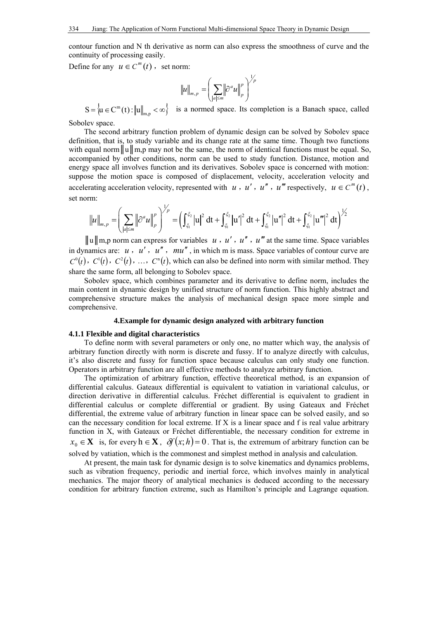contour function and N th derivative as norm can also express the smoothness of curve and the continuity of processing easily.

Define for any  $u \in C^m(t)$ , set norm:

$$
\|u\|_{m,p} = \left(\sum_{|a|\leq m} \left\|\partial^a u\right\|_p^p\right)^{\vee p}
$$

 $S = \{ u \in C^m(t) : ||u||_{m,p} < \infty \}$  is a normed space. Its completion is a Banach space, called

1

Sobolev space.

The second arbitrary function problem of dynamic design can be solved by Sobolev space definition, that is, to study variable and its change rate at the same time. Though two functions with equal norm  $\|u\|$  m,p may not be the same, the norm of identical functions must be equal. So, accompanied by other conditions, norm can be used to study function. Distance, motion and energy space all involves function and its derivatives. Sobolev space is concerned with motion: suppose the motion space is composed of displacement, velocity, acceleration velocity and accelerating acceleration velocity, represented with *u*, *u'*, *u''*, *u''* respectively,  $u \in C^m(t)$ , set norm:  $\overline{1}$ 

$$
\|u\|_{m,p} = \left(\sum_{|a| \le m} \left\| \partial^a u \right\|_{p}^p \right)^{1/p} = \left(\int_{\xi_1}^{\xi_2} |u|^2 dt + \int_{\xi_1}^{\xi_2} |u'|^2 dt + \int_{\xi_1}^{\xi_2} |u''|^2 dt + \int_{\xi_1}^{\xi_2} |u'''|^2 dt\right)^{1/2}
$$

 $\|u\|$ m,p norm can express for variables *u*, *u'*, *u''*, *u'''* at the same time. Space variables in dynamics are:  $u$ ,  $u'$ ,  $u''$ ,  $mu''$ , in which m is mass. Space variables of contour curve are  $C^0(t)$ ,  $C^1(t)$ ,  $C^2(t)$ , ...,  $C^n(t)$ , which can also be defined into norm with similar method. They share the same form, all belonging to Sobolev space.

Sobolev space, which combines parameter and its derivative to define norm, includes the main content in dynamic design by unified structure of norm function. This highly abstract and comprehensive structure makes the analysis of mechanical design space more simple and comprehensive.

### **4.Example for dynamic design analyzed with arbitrary function**

#### **4.1.1 Flexible and digital characteristics**

To define norm with several parameters or only one, no matter which way, the analysis of arbitrary function directly with norm is discrete and fussy. If to analyze directly with calculus, it's also discrete and fussy for function space because calculus can only study one function. Operators in arbitrary function are all effective methods to analyze arbitrary function.

The optimization of arbitrary function, effective theoretical method, is an expansion of differential calculus. Gateaux differential is equivalent to vatiation in variational calculus, or direction derivative in differential calculus. Fréchet differential is equivalent to gradient in differential calculus or complete differential or gradient. By using Gateaux and Fréchet differential, the extreme value of arbitrary function in linear space can be solved easily, and so can the necessary condition for local extreme. If X is a linear space and f is real value arbitrary function in X, with Gateaux or Fréchet differentiable, the necessary condition for extreme in  $x_0 \in \mathbf{X}$  is, for every  $h \in \mathbf{X}$ ,  $\delta f(x; h) = 0$ . That is, the extremum of arbitrary function can be solved by vatiation, which is the commonest and simplest method in analysis and calculation.

At present, the main task for dynamic design is to solve kinematics and dynamics problems, such as vibration frequency, periodic and inertial force, which involves mainly in analytical mechanics. The major theory of analytical mechanics is deduced according to the necessary condition for arbitrary function extreme, such as Hamilton's principle and Lagrange equation.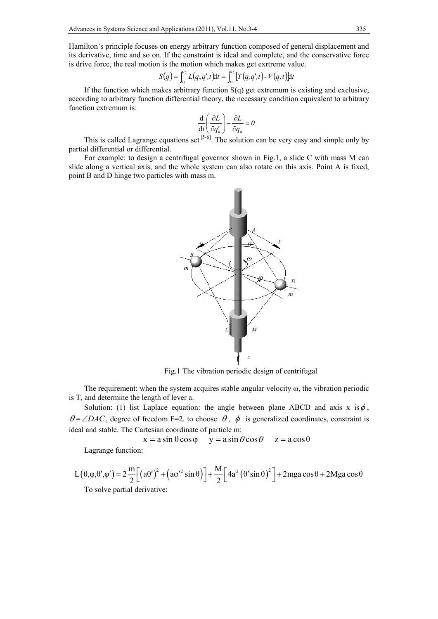Hamilton's principle focuses on energy arbitrary function composed of general displacement and its derivative, time and so on. If the constraint is ideal and complete, and the conservative force is drive force, the real motion is the motion which makes get exrtreme value.

$$
S(q) = \int_{t_1}^{t_2} L(q, q', t) \mathrm{d}t = \int_{t_1}^{t_2} [T(q, q', t) - V(q, t)] \mathrm{d}t
$$

If the function which makes arbitrary function S(q) get extremum is existing and exclusive, according to arbitrary function differential theory, the necessary condition equivalent to arbitrary function extremum is:

$$
\frac{\mathrm{d}}{\mathrm{d}t} \left( \frac{\partial L}{\partial q_a'} \right) - \frac{\partial L}{\partial q_a} = 0
$$

This is called Lagrange equations set  $[5-6]$ . The solution can be very easy and simple only by partial differential or differential.

For example: to design a centrifugal governor shown in Fig.1, a slide C with mass M can slide along a vertical axis, and the whole system can also rotate on this axis. Point A is fixed, point B and D hinge two particles with mass m.



Fig.1 The vibration periodic design of centrifugal

The requirement: when the system acquires stable angular velocity  $\omega$ , the vibration periodic is T, and determine the length of lever a.

Solution: (1) list Laplace equation: the angle between plane ABCD and axis x is  $\phi$ ,  $\theta = \angle DAC$ , degree of freedom F=2. to choose  $\theta$ ,  $\phi$  is generalized coordinates, constraint is ideal and stable. The Cartesian coordinate of particle m:

 $x = a \sin \theta \cos \phi$   $y = a \sin \theta \cos \theta$   $z = a \cos \theta$ 

Lagrange function:

$$
L(\theta, \varphi, \theta', \varphi') = 2 \frac{m}{2} \Big[ \big( a\theta' \big)^2 + \big( a\varphi'^2 \sin \theta \big) \Big] + \frac{M}{2} \Big[ 4a^2 \big( \theta' \sin \theta \big)^2 \Big] + 2mga \cos \theta + 2Mga \cos \theta
$$
  
To solve partial derivative: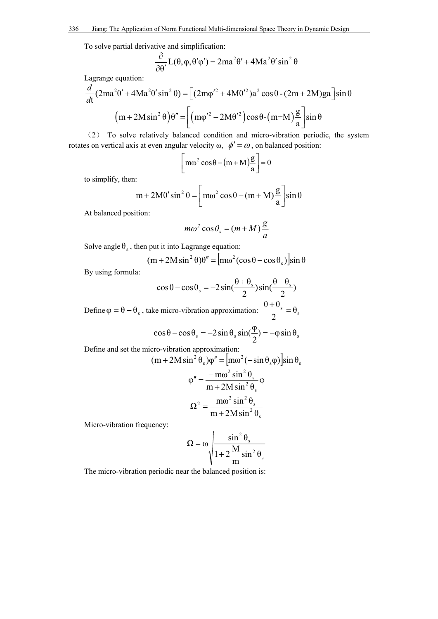To solve partial derivative and simplification:

$$
\frac{\partial}{\partial \theta'} L(\theta, \varphi, \theta' \varphi') = 2ma^2\theta' + 4Ma^2\theta' \sin^2\theta
$$

Lagrange equation:

$$
\frac{d}{dt}(2ma^2\theta' + 4Ma^2\theta'\sin^2\theta) = \left[ (2m\phi'^2 + 4M\theta'^2)a^2\cos\theta - (2m + 2M)ga\right]\sin\theta
$$

$$
(m + 2M\sin^2\theta)\theta'' = \left[ (m\phi'^2 - 2M\theta'^2)\cos\theta - (m + M)\frac{g}{a}\right]\sin\theta
$$

(2) To solve relatively balanced condition and micro-vibration periodic, the system rotates on vertical axis at even angular velocity  $\omega$ ,  $\phi' = \omega$ , on balanced position:

$$
\left[\text{m}\omega^2\cos\theta - (\text{m} + \text{M})\frac{\text{g}}{\text{a}}\right] = 0
$$

to simplify, then:

$$
m + 2M\theta' \sin^2 \theta = \left[ m\omega^2 \cos \theta - (m + M)\frac{g}{a} \right] \sin \theta
$$

At balanced position:

$$
m\omega^2\cos\theta_s = (m+M)\frac{g}{a}
$$

Solve angle  $\theta_s$ , then put it into Lagrange equation:

$$
(m + 2M\sin^2\theta)\theta'' = [m\omega^2(\cos\theta - \cos\theta_s)]\sin\theta
$$

By using formula:

$$
\cos\theta - \cos\theta_s = -2\sin(\frac{\theta + \theta_s}{2})\sin(\frac{\theta - \theta_s}{2})
$$
  
Define  $\varphi = \theta - \theta_s$ , take micro-vibration approximation:  $\frac{\theta + \theta_s}{2} = \theta_s$   

$$
\cos\theta - \cos\theta_s = -2\sin\theta_s\sin(\frac{\varphi}{2}) = -\varphi\sin\theta_s
$$

Define and set the micro-vibration approximation:

$$
(m+2M\sin^2\theta_s)\varphi'' = [m\omega^2(-\sin\theta_s\varphi)]\sin\theta_s
$$

$$
\varphi'' = \frac{-m\omega^2\sin^2\theta_s}{m+2M\sin^2\theta_s}\varphi
$$

$$
\Omega^2 = \frac{m\omega^2\sin^2\theta_s}{m+2M\sin^2\theta_s}
$$

Micro-vibration frequency:

$$
\Omega = \omega \sqrt{\frac{\sin^2 \theta_s}{1 + 2 \frac{M}{m} \sin^2 \theta_s}}
$$

The micro-vibration periodic near the balanced position is: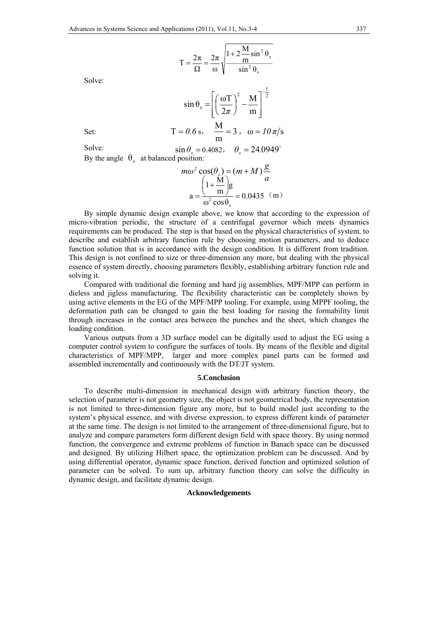$$
T = \frac{2\pi}{\Omega} = \frac{2\pi}{\omega} \sqrt{\frac{1 + 2\frac{M}{m}\sin^2\theta_s}{\sin^2\theta_s}}
$$

Solve:

$$
\sin \theta_s = \left[ \left( \frac{\omega T}{2\pi} \right)^2 - \frac{M}{m} \right]^{-\frac{1}{2}}
$$
  
Set:  

$$
T = 0.6 \text{ s}, \quad \frac{M}{m} = 3, \quad \omega = 10 \pi/s
$$

Solve: By the angle  $\theta_{s}$  at balanced position:  $\sin \theta$ <sub>s</sub> = 0.4082,  $\theta$ <sub>s</sub> = 24.0949<sup>°</sup>

$$
m\omega^2 \cos(\theta_s) = (m+M)\frac{g}{a}
$$

$$
a = \frac{\left(1 + \frac{M}{m}\right)g}{\omega^2 \cos \theta_s} = 0.0435 \text{ (m)}
$$

By simple dynamic design example above, we know that according to the expression of micro-vibration periodic, the structure of a centrifugal governor which meets dynamics requirements can be produced. The step is that based on the physical characteristics of system, to describe and establish arbitrary function rule by choosing motion parameters, and to deduce function solution that is in accordance with the design condition. It is different from tradition. This design is not confined to size or three-dimension any more, but dealing with the physical essence of system directly, choosing parameters flexibly, establishing arbitrary function rule and solving it.

Compared with traditional die forming and hard jig assemblies, MPF/MPP can perform in dieless and jigless manufacturing. The flexibility characteristic can be completely shown by using active elements in the EG of the MPF/MPP tooling. For example, using MPPF tooling, the deformation path can be changed to gain the best loading for raising the formability limit through increases in the contact area between the punches and the sheet, which changes the loading condition.

Various outputs from a 3D surface model can be digitally used to adjust the EG using a computer control system to configure the surfaces of tools. By means of the flexible and digital characteristics of MPF/MPP, larger and more complex panel parts can be formed and assembled incrementally and continuously with the DT/JT system.

#### **5.Conclusion**

To describe multi-dimension in mechanical design with arbitrary function theory, the selection of parameter is not geometry size, the object is not geometrical body, the representation is not limited to three-dimension figure any more, but to build model just according to the system's physical essence, and with diverse expression, to express different kinds of parameter at the same time. The design is not limited to the arrangement of three-dimensional figure, but to analyze and compare parameters form different design field with space theory. By using normed function, the convergence and extreme problems of function in Banach space can be discussed and designed. By utilizing Hilbert space, the optimization problem can be discussed. And by using differential operator, dynamic space function, derived function and optimized solution of parameter can be solved. To sum up, arbitrary function theory can solve the difficulty in dynamic design, and facilitate dynamic design.

### **Acknowledgements**